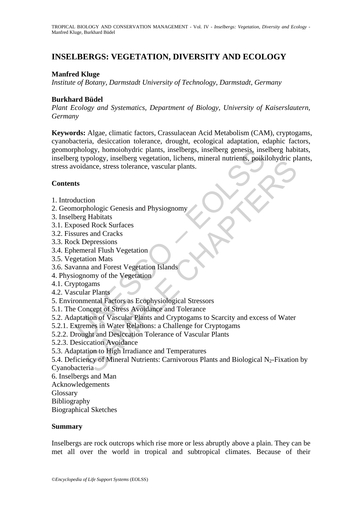# **INSELBERGS: VEGETATION, DIVERSITY AND ECOLOGY**

#### **Manfred Kluge**

*Institute of Botany, Darmstadt University of Technology, Darmstadt, Germany* 

#### **Burkhard Büdel**

*Plant Ecology and Systematics, Department of Biology, University of Kaiserslautern, Germany* 

phology, homolonydric plants, inselbergs, inselberg genesis, insel<br>phology, inselberg vegetation, lichens, mineral nutrients, poiki<br>voidance, stress tolerance, vascular plants.<br>
ts<br>ts<br>therefore, these steads and Physiognom **Keywords:** Algae, climatic factors, Crassulacean Acid Metabolism (CAM), cryptogams, cyanobacteria, desiccation tolerance, drought, ecological adaptation, edaphic factors, geomorphology, homoiohydric plants, inselbergs, inselberg genesis, inselberg habitats, inselberg typology, inselberg vegetation, lichens, mineral nutrients, poikilohydric plants, stress avoidance, stress tolerance, vascular plants.

#### **Contents**

- 1. Introduction
- 2. Geomorphologic Genesis and Physiognomy
- 3. Inselberg Habitats
- 3.1. Exposed Rock Surfaces
- 3.2. Fissures and Cracks
- 3.3. Rock Depressions
- 3.4. Ephemeral Flush Vegetation
- 3.5. Vegetation Mats
- 3.6. Savanna and Forest Vegetation Islands
- 4. Physiognomy of the Vegetation
- 4.1. Cryptogams
- 4.2. Vascular Plants
- 5. Environmental Factors as Ecophysiological Stressors
- 5.1. The Concept of Stress Avoidance and Tolerance
- 5.2. Adaptation of Vascular Plants and Cryptogams to Scarcity and excess of Water
- 5.2.1. Extremes in Water Relations: a Challenge for Cryptogams
- 5.2.2. Drought and Desiccation Tolerance of Vascular Plants
- 5.2.3. Desiccation Avoidance
- 5.3. Adaptation to High Irradiance and Temperatures
- France, stress tolerance, vascular plants.<br>
Thance, stress tolerance, vascular plants.<br>
Thance, stress tolerance, vascular plants.<br>
Thance, stress colerance are all Physiognomy<br>
El Fabitats<br>
Sepressions<br>
Incent Flush Veget 5.4. Deficiency of Mineral Nutrients: Carnivorous Plants and Biological N<sub>2</sub>-Fixation by
- Cyanobacteria
- 6. Inselbergs and Man
- Acknowledgements
- **Glossary**
- Bibliography
- Biographical Sketches

#### **Summary**

Inselbergs are rock outcrops which rise more or less abruptly above a plain. They can be met all over the world in tropical and subtropical climates. Because of their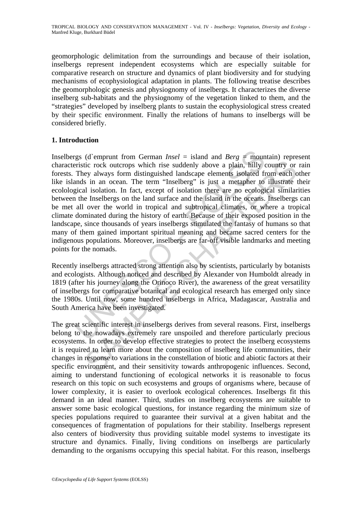geomorphologic delimitation from the surroundings and because of their isolation, inselbergs represent independent ecosystems which are especially suitable for comparative research on structure and dynamics of plant biodiversity and for studying mechanisms of ecophysiological adaptation in plants. The following treatise describes the geomorphologic genesis and physiognomy of inselbergs. It characterizes the diverse inselberg sub-habitats and the physiognomy of the vegetation linked to them, and the "strategies" developed by inselberg plants to sustain the ecophysiological stress created by their specific environment. Finally the relations of humans to inselbergs will be considered briefly.

## **1. Introduction**

gs (d'emprunt from German *Insel* = island and *Berg* = moun<br>eristic rock outcrops which rise suddenly above a plain, hilly of<br>They always form distinguished landscape elements isolated fi<br>ands in an ocean. The term "Inse (i.e. rock outcrops which rise suddenly above a plain, hilly country or<br>ey always form distinguished landscape elements isolated from each c<br>in a ocean. The term "Inselberg" is just a metapher to illustrate<br>a li aiolation. Inselbergs (d`emprunt from German *Insel* = island and *Berg* = mountain) represent characteristic rock outcrops which rise suddenly above a plain, hilly country or rain forests. They always form distinguished landscape elements isolated from each other like islands in an ocean. The term "Inselberg" is just a metapher to illustrate their ecolological isolation. In fact, except of isolation there are no ecological similarities between the Inselbergs on the land surface and the island in the oceans. Inselbergs can be met all over the world in tropical and subtropical climates, or where a tropical climate dominated during the history of earth. Because of their exposed position in the landscape, since thousands of years inselbergs stimulated the fantasy of humans so that many of them gained important spiritual meaning and became sacred centers for the indigenous populations. Moreover, inselbergs are far-off visible landmarks and meeting points for the nomads.

Recently inselbergs attracted strong attention also by scientists, particularly by botanists and ecologists. Although noticed and described by Alexander von Humboldt already in 1819 (after his journey along the Orinoco River), the awareness of the great versatility of inselbergs for comparative botanical and ecological research has emerged only since the 1980s. Until now, some hundred inselbergs in Africa, Madagascar, Australia and South America have been investigated.

The great scientific interest in inselbergs derives from several reasons. First, inselbergs belong to the nowadays extremely rare unspoiled and therefore particularly precious ecosystems. In order to develop effective strategies to protect the inselberg ecosystems it is required to learn more about the composition of inselberg life communities, their changes in response to variations in the constellation of biotic and abiotic factors at their specific environment, and their sensitivity towards anthropogenic influences. Second, aiming to understand functioning of ecological networks it is reasonable to focus research on this topic on such ecosystems and groups of organisms where, because of lower complexity, it is easier to overlook ecological coherences. Inselbergs fit this demand in an ideal manner. Third, studies on inselberg ecosystems are suitable to answer some basic ecological questions, for instance regarding the minimum size of species populations required to guarantee their survival at a given habitat and the consequences of fragmentation of populations for their stability. Inselbergs represent also centers of biodiversity thus providing suitable model systems to investigate its structure and dynamics. Finally, living conditions on inselbergs are particularly demanding to the organisms occupying this special habitat. For this reason, inselbergs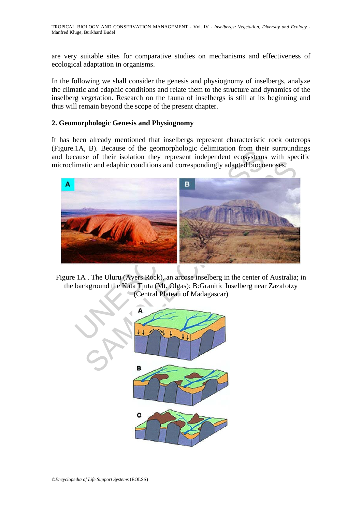are very suitable sites for comparative studies on mechanisms and effectiveness of ecological adaptation in organisms.

In the following we shall consider the genesis and physiognomy of inselbergs, analyze the climatic and edaphic conditions and relate them to the structure and dynamics of the inselberg vegetation. Research on the fauna of inselbergs is still at its beginning and thus will remain beyond the scope of the present chapter.

#### **2. Geomorphologic Genesis and Physiognomy**

It has been already mentioned that inselbergs represent characteristic rock outcrops (Figure.1A, B). Because of the geomorphologic delimitation from their surroundings and because of their isolation they represent independent ecosystems with specific microclimatic and edaphic conditions and correspondingly adapted biocoenoses.



Figure 1A . The Uluru (Ayers Rock), an arcose inselberg in the center of Australia; in the background the Kata Tjuta (Mt. Olgas); B:Granitic Inselberg near Zazafotzy (Central Plateau of Madagascar)

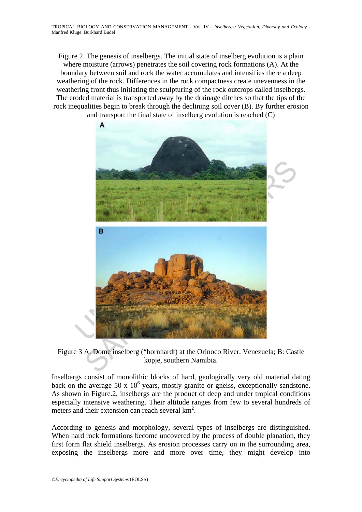TROPICAL BIOLOGY AND CONSERVATION MANAGEMENT - Vol. IV - *Inselbergs: Vegetation, Diversity and Ecology* - Manfred Kluge, Burkhard Büdel

Figure 2. The genesis of inselbergs. The initial state of inselberg evolution is a plain where moisture (arrows) penetrates the soil covering rock formations (A). At the boundary between soil and rock the water accumulates and intensifies there a deep weathering of the rock. Differences in the rock compactness create unevenness in the weathering front thus initiating the sculpturing of the rock outcrops called inselbergs. The eroded material is transported away by the drainage ditches so that the tips of the rock inequalities begin to break through the declining soil cover (B). By further erosion and transport the final state of inselberg evolution is reached (C)



Figure 3 A. Dome inselberg ("bornhardt) at the Orinoco River, Venezuela; B: Castle kopje, southern Namibia.

Inselbergs consist of monolithic blocks of hard, geologically very old material dating back on the average 50 x 10<sup>6</sup> years, mostly granite or gneiss, exceptionally sandstone. As shown in Figure.2, inselbergs are the product of deep and under tropical conditions especially intensive weathering. Their altitude ranges from few to several hundreds of meters and their extension can reach several km<sup>2</sup>.

According to genesis and morphology, several types of inselbergs are distinguished. When hard rock formations become uncovered by the process of double planation, they first form flat shield inselbergs. As erosion processes carry on in the surrounding area, exposing the inselbergs more and more over time, they might develop into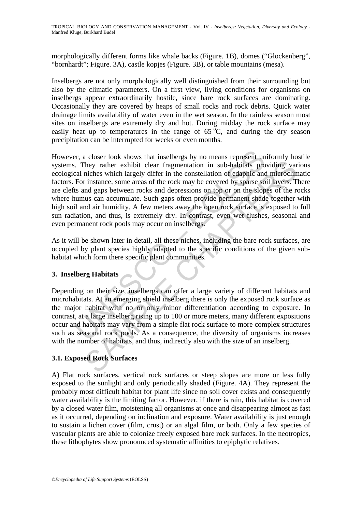morphologically different forms like whale backs (Figure. 1B), domes ("Glockenberg", "bornhardt"; Figure. 3A), castle kopjes (Figure. 3B), or table mountains (mesa).

Inselbergs are not only morphologically well distinguished from their surrounding but also by the climatic parameters. On a first view, living conditions for organisms on inselbergs appear extraordinarily hostile, since bare rock surfaces are dominating. Occasionally they are covered by heaps of small rocks and rock debris. Quick water drainage limits availability of water even in the wet season. In the rainless season most sites on inselbergs are extremely dry and hot. During midday the rock surface may easily heat up to temperatures in the range of  $65^{\circ}$ C, and during the dry season precipitation can be interrupted for weeks or even months.

er, a closer look shows that inselbergs by no means represent un<br>
They rather exhibit clear fragmentation in sub-habitats pro<br>
cal niches which largely differ in the constellation of edaphic and<br>
For instance, some areas o They rather exhibit clear fragmentation in sub-habitats providing variables which largely differ in the constellation of edaphic and microclinic variables which largely differ in the constellation of edaphic and microclini However, a closer look shows that inselbergs by no means represent uniformly hostile systems. They rather exhibit clear fragmentation in sub-habitats providing various ecological niches which largely differ in the constellation of edaphic and microclimatic factors. For instance, some areas of the rock may be covered by sparse soil layers. There are clefts and gaps between rocks and depressions on top or on the slopes of the rocks where humus can accumulate. Such gaps often provide permanent shade together with high soil and air humidity. A few meters away the open rock surface is exposed to full sun radiation, and thus, is extremely dry. In contrast, even wet flushes, seasonal and even permanent rock pools may occur on inselbergs.

As it will be shown later in detail, all these niches, including the bare rock surfaces, are occupied by plant species highly adapted to the specific conditions of the given subhabitat which form there specific plant communities.

### **3. Inselberg Habitats**

Depending on their size, inselbergs can offer a large variety of different habitats and microhabitats. At an emerging shield inselberg there is only the exposed rock surface as the major habitat with no or only minor differentiation according to exposure. In contrast, at a large inselberg rising up to 100 or more meters, many different expositions occur and habitats may vary from a simple flat rock surface to more complex structures such as seasonal rock pools. As a consequence, the diversity of organisms increases with the number of habitats, and thus, indirectly also with the size of an inselberg.

# **3.1. Exposed Rock Surfaces**

A) Flat rock surfaces, vertical rock surfaces or steep slopes are more or less fully exposed to the sunlight and only periodically shaded (Figure. 4A). They represent the probably most difficult habitat for plant life since no soil cover exists and consequently water availability is the limiting factor. However, if there is rain, this habitat is covered by a closed water film, moistening all organisms at once and disappearing almost as fast as it occurred, depending on inclination and exposure. Water availability is just enough to sustain a lichen cover (film, crust) or an algal film, or both. Only a few species of vascular plants are able to colonize freely exposed bare rock surfaces. In the neotropics, these lithophytes show pronounced systematic affinities to epiphytic relatives.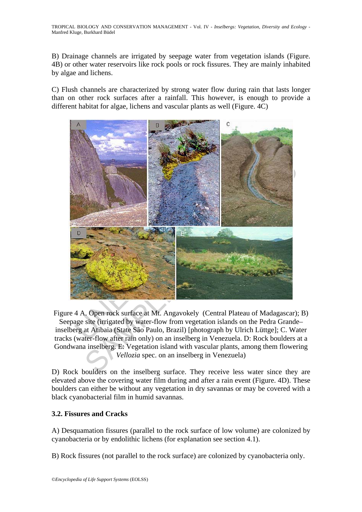B) Drainage channels are irrigated by seepage water from vegetation islands (Figure. 4B) or other water reservoirs like rock pools or rock fissures. They are mainly inhabited by algae and lichens.

C) Flush channels are characterized by strong water flow during rain that lasts longer than on other rock surfaces after a rainfall. This however, is enough to provide a different habitat for algae, lichens and vascular plants as well (Figure. 4C)



Figure 4 A. Open rock surface at Mt. Angavokely (Central Plateau of Madagascar); B) Seepage site (irrigated by water-flow from vegetation islands on the Pedra Grande– inselberg at Atibaia (State São Paulo, Brazil) [photograph by Ulrich Lüttge]; C. Water tracks (water-flow after rain only) on an inselberg in Venezuela. D: Rock boulders at a Gondwana inselberg. E: Vegetation island with vascular plants, among them flowering *Vellozia* spec. on an inselberg in Venezuela)

D) Rock boulders on the inselberg surface. They receive less water since they are elevated above the covering water film during and after a rain event (Figure. 4D). These boulders can either be without any vegetation in dry savannas or may be covered with a black cyanobacterial film in humid savannas.

### **3.2. Fissures and Cracks**

A) Desquamation fissures (parallel to the rock surface of low volume) are colonized by cyanobacteria or by endolithic lichens (for explanation see section 4.1).

B) Rock fissures (not parallel to the rock surface) are colonized by cyanobacteria only.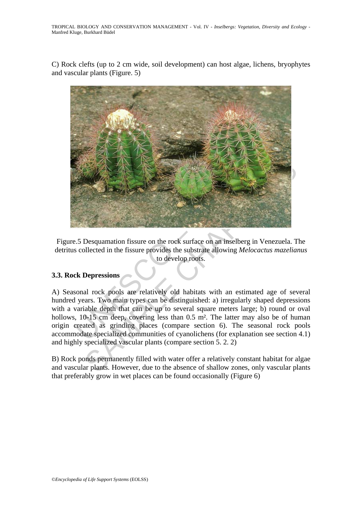C) Rock clefts (up to 2 cm wide, soil development) can host algae, lichens, bryophytes and vascular plants (Figure. 5)



Figure.5 Desquamation fissure on the rock surface on an inselberg in Venezuela. The detritus collected in the fissure provides the substrate allowing *Melocactus mazelianus* to develop roots.

# **3.3. Rock Depressions**

A) Seasonal rock pools are relatively old habitats with an estimated age of several hundred years. Two main types can be distinguished: a) irregularly shaped depressions with a variable depth that can be up to several square meters large; b) round or oval hollows, 10-15 cm deep, covering less than 0.5 m<sup>2</sup>. The latter may also be of human origin created as grinding places (compare section 6). The seasonal rock pools accommodate specialized communities of cyanolichens (for explanation see section 4.1) and highly specialized vascular plants (compare section 5. 2. 2)

B) Rock ponds permanently filled with water offer a relatively constant habitat for algae and vascular plants. However, due to the absence of shallow zones, only vascular plants that preferably grow in wet places can be found occasionally (Figure 6)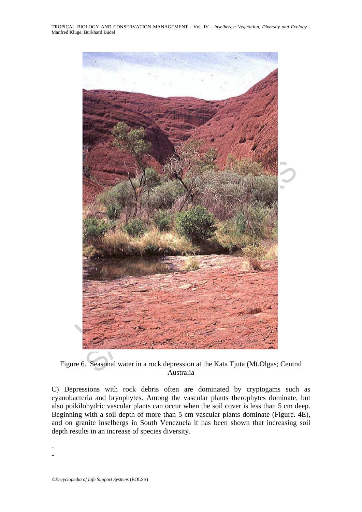

Figure 6. Seasonal water in a rock depression at the Kata Tjuta (Mt.Olgas; Central Australia

C) Depressions with rock debris often are dominated by cryptogams such as cyanobacteria and bryophytes. Among the vascular plants therophytes dominate, but also poikilohydric vascular plants can occur when the soil cover is less than 5 cm deep. Beginning with a soil depth of more than 5 cm vascular plants dominate (Figure. 4E), and on granite inselbergs in South Venezuela it has been shown that increasing soil depth results in an increase of species diversity.

- -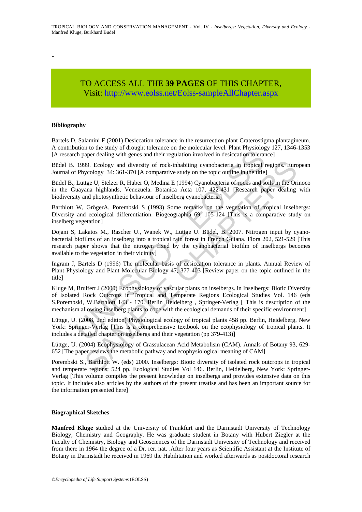-

# TO ACCESS ALL THE **39 PAGES** OF THIS CHAPTER, Visit[: http://www.eolss.net/Eolss-sampleAllChapter.aspx](https://www.eolss.net/ebooklib/sc_cart.aspx?File=E6-142-TB-04)

#### **Bibliography**

Bartels D, Salamini F (2001) Desiccation tolerance in the resurrection plant Craterostigma plantagineum. A contribution to the study of drought tolerance on the molecular level. Plant Physiology 127, 1346-1353 [A research paper dealing with genes and their regulation involved in desiccation tolerance]

Büdel B. 1999. Ecology and diversity of rock-inhabiting cyanobacteria in tropical regions. European Journal of Phycology 34: 361-370 [A comparative study on the topic outline in the title]

Büdel B., Lüttge U, Stelzer R, Huber O, Medina E (1994) Cyanobacteria of rocks and soils in the Orinoco in the Guayana highlands, Venezuela. Botanica Acta 107, 422-431 [Research paper dealing with biodiversity and photosynthetic behaviour of inselberg cyanobacteria]

Barthlott W, GrögerA, Porembski S (1993) Some remarks on the vegetation of tropical inselbergs: Diversity and ecological differentiation. Biogeographia 69, 105-124 [This is a comparative study on inselberg vegetation]

Dojani S, Lakatos M., Rascher U., Wanek W., Lüttge U. Büdel, B. 2007. Nitrogen input by cyanobacterial biofilms of an inselberg into a tropical rain forest in French Guiana. Flora 202, 521-529 [This research paper shows that the nitrogen fixed by the cyanobacterial biofilm of inselbergs becomes available to the vegetation in their vicinity]

Ingram J, Bartels D (1996) The molecular basis of desiccation tolerance in plants. Annual Review of Plant Physiology and Plant Molecular Biology 47, 377-403 [Review paper on the topic outlined in the title]

ation of the staty of motegatic oracion and motellance of the concernal with procedure of the paper dealing with genes and their regulation involved in desiccation tolerar<br>1999. Ecology and diversity of rock-inhabiting cya 99. Ecology and diversity of rock-inhabiting cyanobacteria in tropical regions. Euro<br>
sycology 34: 361-370 [A comparative study on the topic outline in the title]<br>
ttge U, Stelzer R, Huber O, Medina E (1994) Cyanobacteria Kluge M, Brulfert J (2000) Ecophysiology of vascular plants on inselbergs. in Inselbergs: Biotic Diversity of Isolated Rock Outcrops in Tropical and Temperate Regions Ecological Studies Vol. 146 (eds S.Porembski, W.Barthlott 143 - 170. Berlin Heidelberg , Springer-Verlag [ This is description of the mechanism allowing inselberg plants to cope with the ecological demands of their specific environment]

Lüttge, U. (2008, 2nd edition) Physiological ecology of tropical plants 458 pp. Berlin, Heidelberg, New York: Springer-Verlag [This is a comprehensive textbook on the ecophysiology of tropical plants. It includes a detailed chapter on inselbergs and their vegetation (pp 379-413)]

Lüttge, U. (2004) Ecophysiology of Crassulacean Acid Metabolism (CAM). Annals of Botany 93, 629- 652 [The paper reviews the metabolic pathway and ecophysiological meaning of CAM]

Porembski S., Barthlott W. (eds) 2000. Inselbergs: Biotic diversity of isolated rock outcrops in tropical and temperate regions; 524 pp. Ecological Studies Vol 146. Berlin, Heidelberg, New York: Springer-Verlag [This volume compiles the present knowledge on inselbergs and provides extensive data on this topic. It includes also articles by the authors of the present treatise and has been an important source for the information presented here]

#### **Biographical Sketches**

**Manfred Kluge** studied at the University of Frankfurt and the Darmstadt University of Technology Biology, Chemistry and Geography. He was graduate student in Botany with Hubert Ziegler at the Faculty of Chemistry, Biology and Geosciences of the Darmstadt University of Technology and received from there in 1964 the degree of a Dr. rer. nat. .After four years as Scientific Assistant at the Institute of Botany in Darmstadt he received in 1969 the Habilitation and worked afterwards as postdoctoral research